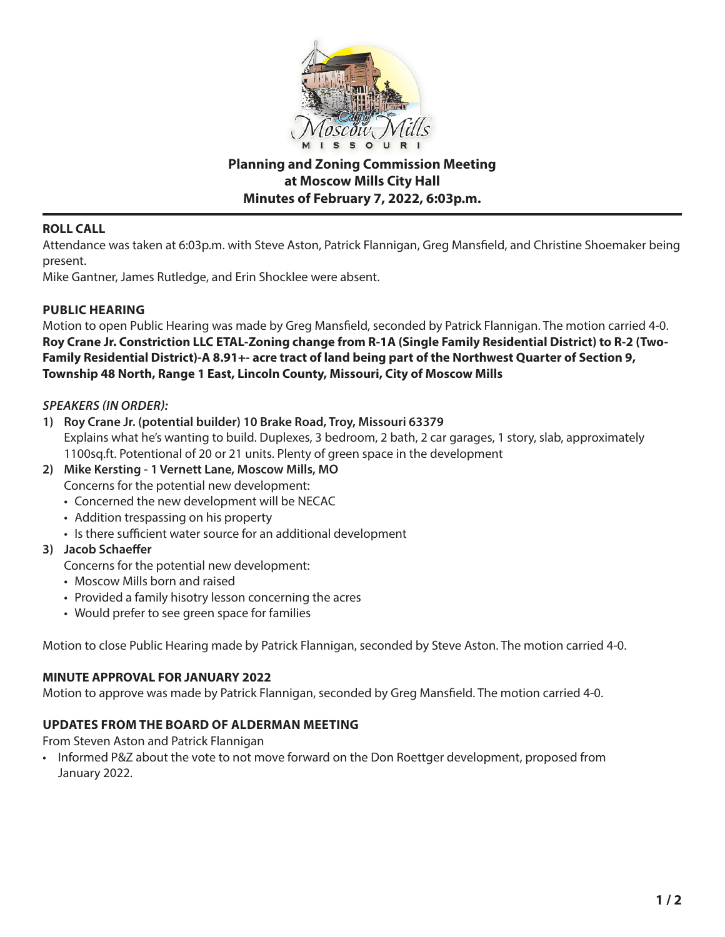

# **Planning and Zoning Commission Meeting at Moscow Mills City Hall Minutes of February 7, 2022, 6:03p.m.**

## **ROLL CALL**

Attendance was taken at 6:03p.m. with Steve Aston, Patrick Flannigan, Greg Mansfield, and Christine Shoemaker being present.

Mike Gantner, James Rutledge, and Erin Shocklee were absent.

## **PUBLIC HEARING**

Motion to open Public Hearing was made by Greg Mansfield, seconded by Patrick Flannigan. The motion carried 4-0. **Roy Crane Jr. Constriction LLC ETAL-Zoning change from R-1A (Single Family Residential District) to R-2 (Two-Family Residential District)-A 8.91+- acre tract of land being part of the Northwest Quarter of Section 9, Township 48 North, Range 1 East, Lincoln County, Missouri, City of Moscow Mills**

## *SPEAKERS (IN ORDER):*

- **1) Roy Crane Jr. (potential builder) 10 Brake Road, Troy, Missouri 63379** Explains what he's wanting to build. Duplexes, 3 bedroom, 2 bath, 2 car garages, 1 story, slab, approximately 1100sq.ft. Potentional of 20 or 21 units. Plenty of green space in the development
- **2) Mike Kersting 1 Vernett Lane, Moscow Mills, MO**
	- Concerns for the potential new development:
	- Concerned the new development will be NECAC
	- Addition trespassing on his property
	- Is there sufficient water source for an additional development

## **3) Jacob Schaeffer**

- Concerns for the potential new development:
- Moscow Mills born and raised
- Provided a family hisotry lesson concerning the acres
- Would prefer to see green space for families

Motion to close Public Hearing made by Patrick Flannigan, seconded by Steve Aston. The motion carried 4-0.

## **MINUTE APPROVAL FOR JANUARY 2022**

Motion to approve was made by Patrick Flannigan, seconded by Greg Mansfield. The motion carried 4-0.

# **UPDATES FROM THE BOARD OF ALDERMAN MEETING**

From Steven Aston and Patrick Flannigan

• Informed P&Z about the vote to not move forward on the Don Roettger development, proposed from January 2022.